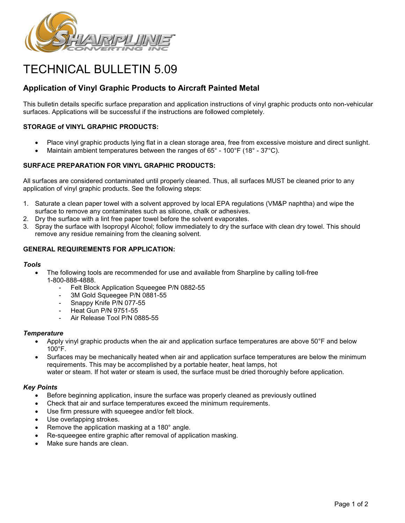

# TECHNICAL BULLETIN 5.09

# **Application of Vinyl Graphic Products to Aircraft Painted Metal**

This bulletin details specific surface preparation and application instructions of vinyl graphic products onto non-vehicular surfaces. Applications will be successful if the instructions are followed completely.

# **STORAGE of VINYL GRAPHIC PRODUCTS:**

- Place vinyl graphic products lying flat in a clean storage area, free from excessive moisture and direct sunlight.
- Maintain ambient temperatures between the ranges of  $65^{\circ}$  100 $^{\circ}$ F (18 $^{\circ}$  37 $^{\circ}$ C).

# **SURFACE PREPARATION FOR VINYL GRAPHIC PRODUCTS:**

All surfaces are considered contaminated until properly cleaned. Thus, all surfaces MUST be cleaned prior to any application of vinyl graphic products. See the following steps:

- 1. Saturate a clean paper towel with a solvent approved by local EPA regulations (VM&P naphtha) and wipe the surface to remove any contaminates such as silicone, chalk or adhesives.
- 2. Dry the surface with a lint free paper towel before the solvent evaporates.
- 3. Spray the surface with Isopropyl Alcohol; follow immediately to dry the surface with clean dry towel. This should remove any residue remaining from the cleaning solvent.

#### **GENERAL REQUIREMENTS FOR APPLICATION:**

#### *Tools*

- The following tools are recommended for use and available from Sharpline by calling toll-free 1-800-888-4888.
	- Felt Block Application Squeegee P/N 0882-55
	- 3M Gold Squeegee P/N 0881-55
	- Snappy Knife P/N 077-55
	- Heat Gun P/N 9751-55
	- Air Release Tool P/N 0885-55

#### *Temperature*

- Apply vinyl graphic products when the air and application surface temperatures are above 50°F and below 100°F.
- Surfaces may be mechanically heated when air and application surface temperatures are below the minimum requirements. This may be accomplished by a portable heater, heat lamps, hot water or steam. If hot water or steam is used, the surface must be dried thoroughly before application.

#### *Key Points*

- Before beginning application, insure the surface was properly cleaned as previously outlined
- Check that air and surface temperatures exceed the minimum requirements.
- Use firm pressure with squeegee and/or felt block.
- Use overlapping strokes.
- Remove the application masking at a 180° angle.
- Re-squeegee entire graphic after removal of application masking.
- Make sure hands are clean.